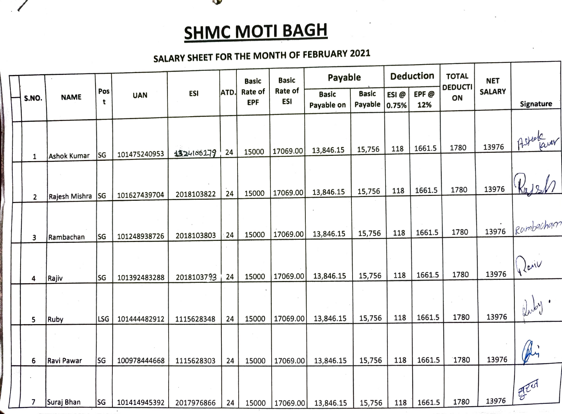

**All De** 

## SALARY SHEET FOR THE MONTH OF FEBRUARY <sup>2021</sup>

|                             |                    |            |              |             |                              | <b>Basic</b>          | <b>Basic</b>               | Payable                 |               |             | <b>Deduction</b>     | <b>TOTAL</b>  | <b>NET</b> |                         |
|-----------------------------|--------------------|------------|--------------|-------------|------------------------------|-----------------------|----------------------------|-------------------------|---------------|-------------|----------------------|---------------|------------|-------------------------|
| <b>NAME</b><br><b>S.NO.</b> | Pos<br>t           | <b>UAN</b> | <b>ESI</b>   | <b>ATD.</b> | <b>Rate of</b><br><b>EPF</b> | Rate of<br><b>ESI</b> | <b>Basic</b><br>Payable on | <b>Basic</b><br>Payable | ESI@<br>0.75% | EPF@<br>12% | <b>DEDUCTI</b><br>ON | <b>SALARY</b> | Signature  |                         |
|                             |                    |            |              |             |                              |                       |                            |                         |               |             |                      |               |            |                         |
|                             |                    | SG         | 101475240953 | 1324100279  | 24                           | 15000                 | 17069.00                   | 13,846.15               | 15,756        | 118         | 1661.5               | 1780          | 13976      | Astelaner               |
| 1                           | <b>Ashok Kumar</b> |            |              |             |                              |                       |                            |                         |               |             |                      |               |            |                         |
|                             | Rajesh Mishra      | <b>SG</b>  | 101627439704 | 2018103822  | 24                           | 15000                 | 17069.00                   | 13,846.15               | 15,756        | 118         | 1661.5               | 1780          | 13976      |                         |
| $\mathbf{2}$                |                    |            |              |             |                              |                       |                            |                         |               |             |                      |               |            |                         |
| 3                           | Rambachan          | SG         | 101248938726 | 2018103803  | 24                           | 15000                 | 17069.00                   | 13,846.15               | 15,756        | 118         | 1661.5               | 1780          | 13976      | Rambachan               |
|                             |                    |            |              |             |                              |                       |                            |                         |               |             |                      |               |            |                         |
|                             | Rajiv              | <b>SG</b>  | 101392483288 | 2018103793  | 24                           | 15000                 | 17069.00                   | 13,846.15               | 15,756        | 118         | 1661.5               | 1780          | 13976      | $\bigcup_{\mathcal{L}}$ |
| 4                           |                    |            |              |             |                              |                       |                            |                         |               |             |                      |               |            |                         |
|                             |                    |            |              |             |                              |                       |                            |                         |               |             |                      |               |            |                         |
| 5                           | Ruby               | LSG        | 101444482912 | 1115628348  | 24                           | 15000                 | 17069.00                   | 13,846.15               | 15,756        | 118         | 1661.5               | 1780          | 13976      |                         |
|                             |                    |            |              |             |                              |                       |                            |                         |               |             |                      |               | 13976      |                         |
| 6                           | Ravi Pawar         | SG         | 100978444668 | 1115628303  | 24                           | 15000                 | 17069.00                   | 13,846.15               | 15,756        | 118         | 1661.5               | 1780          |            |                         |
| 7                           |                    |            |              |             |                              |                       |                            |                         |               |             |                      | 1780          | 13976      | AZUT                    |
|                             | Suraj Bhan         | <b>SG</b>  | 101414945392 | 2017976866  | 24                           | 15000                 | 17069.00                   | 13,846.15               | 15,756        | 118         | 1661.5               |               |            |                         |